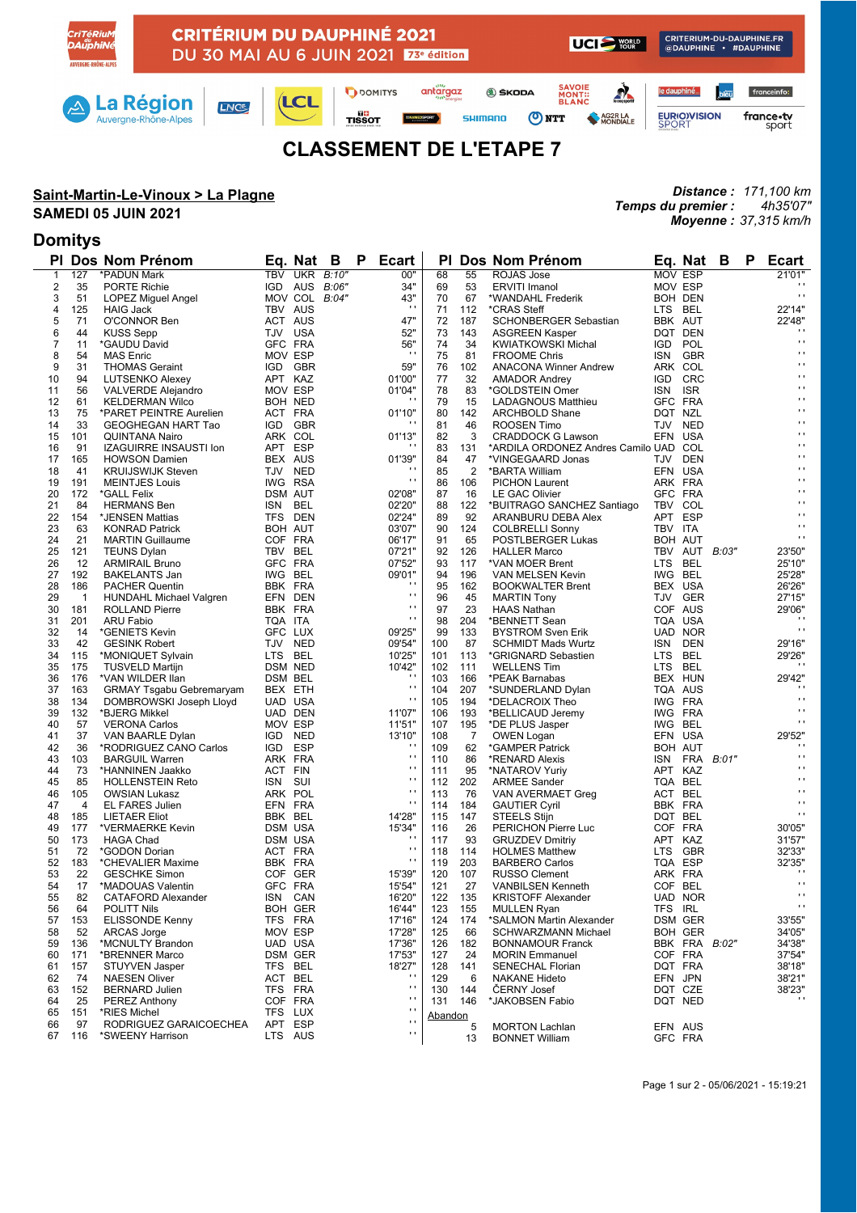

## **CLASSEMENT DE L'ETAPE 7**

### **Saint-Martin-Le-Vinoux > La Plagne**

#### **SAMEDI 05 JUIN 2021**

### **Domitys**

*Distance : 171,100 km Temps du premier : 4h35'07" Moyenne : 37,315 km/h*

| PI.            |                | Dos Nom Prénom                                          |                    | Eg. Nat        | в     | P. | <b>Ecart</b>             | ΡI       |                | Dos Nom Prénom                              |                | Eq. Nat B                   |                  | P | <b>Ecart</b>                     |
|----------------|----------------|---------------------------------------------------------|--------------------|----------------|-------|----|--------------------------|----------|----------------|---------------------------------------------|----------------|-----------------------------|------------------|---|----------------------------------|
| $\mathbf{1}$   | 127            | *PADUN Mark                                             |                    | TBV UKR B:10"  |       |    | 00"                      | 68       | 55             | ROJAS Jose                                  | <b>MOV ESP</b> |                             |                  |   | 21'01"                           |
| $\overline{2}$ | 35             | <b>PORTE Richie</b>                                     |                    | IGD AUS        | B:06" |    | 34"                      | 69       | 53             | <b>ERVITI Imanol</b>                        | MOV ESP        |                             |                  |   |                                  |
| 3              | 51             | LOPEZ Miguel Angel                                      |                    | MOV COL B:04"  |       |    | 43"                      | 70       | 67             | *WANDAHL Frederik                           |                | BOH DEN                     |                  |   | $\mathbf{r}$ .                   |
| 4              | 125            | <b>HAIG Jack</b>                                        | TBV AUS            |                |       |    | $\pm$                    | 71       | 112            | *CRAS Steff                                 | LTS BEL        |                             |                  |   | 22'14"                           |
| 5              | 71             | O'CONNOR Ben                                            | ACT AUS            |                |       |    | 47"                      | 72       | 187            | SCHONBERGER Sebastian                       | BBK AUT        |                             |                  |   | 22'48"                           |
| 6              | 44             | <b>KUSS Sepp</b>                                        | TJV USA            |                |       |    | 52"                      | 73       | 143            | <b>ASGREEN Kasper</b>                       |                | DQT DEN                     |                  |   | $\blacksquare$                   |
| 7              | 11             | *GAUDU David                                            | GFC FRA            |                |       |    | 56"                      | 74       | 34             | <b>KWIATKOWSKI Michal</b>                   | IGD.           | POL                         |                  |   | $\mathbf{r}$                     |
| 8              | 54             | <b>MAS Enric</b>                                        | MOV ESP            |                |       |    | $\blacksquare$           | 75       | 81             | <b>FROOME Chris</b>                         | ISN            | <b>GBR</b>                  |                  |   | $\mathbf{r}$                     |
| 9              | 31             | <b>THOMAS Geraint</b>                                   |                    | IGD GBR        |       |    | 59"                      | 76       | 102            | <b>ANACONA Winner Andrew</b>                |                | ARK COL                     |                  |   | $\mathbf{r}$                     |
| 10             | 94             | <b>LUTSENKO Alexey</b>                                  | APT KAZ            |                |       |    | 01'00"                   | 77       | 32             | <b>AMADOR Andrey</b>                        | IGD.           | CRC                         |                  |   | $\mathbf{r}$                     |
| 11             | 56             | <b>VALVERDE Alejandro</b>                               | MOV ESP            |                |       |    | 01'04"                   | 78       | 83             | *GOLDSTEIN Omer                             | ISN            | <b>ISR</b>                  |                  |   | $\mathbf{r}$                     |
| 12             | 61             | <b>KELDERMAN Wilco</b>                                  |                    | BOH NED        |       |    |                          | 79       | 15             | <b>LADAGNOUS Matthieu</b>                   | GFC FRA        |                             |                  |   | $\blacksquare$                   |
| 13             | 75             | *PARET PEINTRE Aurelien                                 | ACT FRA            |                |       |    | 01'10"                   | 80       | 142            | <b>ARCHBOLD Shane</b>                       | DQT NZL        |                             |                  |   | $\mathbf{r}$                     |
| 14             | 33             | GEOGHEGAN HART Tao                                      |                    | IGD GBR        |       |    | $\blacksquare$           | 81       | 46             | ROOSEN Timo                                 | TJV            | <b>NED</b>                  |                  |   | $\mathbf{r}$<br>$\blacksquare$   |
| 15             | 101            | QUINTANA Nairo                                          | ARK COL            |                |       |    | 01'13"                   | 82       | 3              | <b>CRADDOCK G Lawson</b>                    |                | EFN USA                     |                  |   | $\mathbf{r}$                     |
| 16             | 91             | <b>IZAGUIRRE INSAUSTI Ion</b>                           | APT ESP            |                |       |    |                          | 83       | 131            | *ARDILA ORDONEZ Andres Camilo UAD COL       |                |                             |                  |   | $\mathbf{r}$                     |
| 17             | 165            | <b>HOWSON Damien</b>                                    | BEX AUS            |                |       |    | 01'39"                   | 84       | 47             | *VINGEGAARD Jonas                           | TJV            | <b>DEN</b>                  |                  |   | $\blacksquare$                   |
| 18             | 41             | <b>KRUIJSWIJK Steven</b>                                | TJV NED            |                |       |    | $\bar{a}$                | 85       | $\overline{2}$ | *BARTA William                              |                | EFN USA                     |                  |   | $\mathbf{r}$                     |
| 19             | 191            | <b>MEINTJES Louis</b>                                   | IWG RSA            |                |       |    |                          | 86       | 106            | <b>PICHON Laurent</b>                       | ARK FRA        |                             |                  |   | $\mathbf{r}$                     |
| 20             | 172            | *GALL Felix                                             | <b>DSM AUT</b>     |                |       |    | 02'08"                   | 87       | 16             | <b>LE GAC Olivier</b>                       | GFC FRA        |                             |                  |   | $\blacksquare$                   |
| 21             | 84             | <b>HERMANS Ben</b>                                      | ISN BEL            |                |       |    | 02'20"                   | 88       | 122            | *BUITRAGO SANCHEZ Santiago                  | TBV COL        |                             |                  |   | $\mathbf{r}$                     |
| 22             | 154            | *JENSEN Mattias                                         | TFS DEN            |                |       |    | 02'24"                   | 89       | 92             | ARANBURU DEBA Alex                          | APT ESP        |                             |                  |   | $\mathbf{r}$                     |
| 23             | 63             | <b>KONRAD Patrick</b>                                   | BOH AUT            |                |       |    | 03'07"                   | 90       | 124            | <b>COLBRELLI Sonny</b>                      | TBV ITA        |                             |                  |   | $\mathbf{r}$                     |
| 24             | 21             | <b>MARTIN Guillaume</b>                                 | COF FRA            |                |       |    | 06'17"                   | 91       | 65             | POSTLBERGER Lukas                           | BOH AUT        |                             |                  |   |                                  |
| 25             | 121<br>12      | <b>TEUNS Dylan</b>                                      | TBV BEL<br>GFC FRA |                |       |    | 07'21"<br>07'52"         | 92<br>93 | 126            | <b>HALLER Marco</b>                         | <b>LTS</b>     | TBV AUT B:03"<br><b>BEL</b> |                  |   | 23'50"<br>25'10"                 |
| 26<br>27       | 192            | <b>ARMIRAIL Bruno</b>                                   | IWG BEL            |                |       |    | 09'01"                   | 94       | 117<br>196     | *VAN MOER Brent                             | IWG BEL        |                             |                  |   |                                  |
| 28             | 186            | <b>BAKELANTS Jan</b><br><b>PACHER Quentin</b>           | BBK FRA            |                |       |    | $\cdots$                 | 95       | 162            | VAN MELSEN Kevin<br><b>BOOKWALTER Brent</b> |                | BEX USA                     |                  |   | 25'28"<br>26'26"                 |
| 29             | $\overline{1}$ |                                                         |                    | EFN DEN        |       |    | $\mathbf{r}$             | 96       | 45             | <b>MARTIN Tony</b>                          | TJV            | <b>GER</b>                  |                  |   | 27'15"                           |
| 30             | 181            | <b>HUNDAHL Michael Valgren</b><br><b>ROLLAND Pierre</b> | BBK FRA            |                |       |    | $\mathbf{r}$             | 97       | 23             | <b>HAAS Nathan</b>                          |                | COF AUS                     |                  |   | 29'06"                           |
| 31             | 201            | <b>ARU Fabio</b>                                        | TQA ITA            |                |       |    | $\mathbf{r}$ .           | 98       | 204            | *BENNETT Sean                               |                | TQA USA                     |                  |   | $\blacksquare$                   |
| 32             | 14             | *GENIETS Kevin                                          | GFC LUX            |                |       |    | 09'25"                   | 99       | 133            | <b>BYSTROM Sven Erik</b>                    |                | UAD NOR                     |                  |   | $\cdots$                         |
| 33             | 42             | <b>GESINK Robert</b>                                    | TJV NED            |                |       |    | 09'54"                   | 100      | 87             | <b>SCHMIDT Mads Wurtz</b>                   | ISN            | DEN                         |                  |   | 29'16"                           |
| 34             | 115            | *MONIQUET Sylvain                                       | LTS BEL            |                |       |    | 10'25"                   | 101      | 113            | *GRIGNARD Sebastien                         | LTS BEL        |                             |                  |   | 29'26"                           |
| 35             | 175            | <b>TUSVELD Martijn</b>                                  | DSM NED            |                |       |    | 10'42"                   | 102      | 111            | <b>WELLENS Tim</b>                          | LTS.           | <b>BEL</b>                  |                  |   |                                  |
| 36             | 176            | *VAN WILDER Ilan                                        | DSM BEL            |                |       |    |                          | 103      | 166            | *PEAK Barnabas                              |                | BEX HUN                     |                  |   | 29'42"                           |
| 37             | 163            | <b>GRMAY Tsgabu Gebremaryam</b>                         | BEX ETH            |                |       |    | $\mathbf{r}$             | 104      | 207            | *SUNDERLAND Dylan                           |                | TQA AUS                     |                  |   | $\cdot$                          |
| 38             | 134            | DOMBROWSKI Joseph Lloyd                                 |                    | UAD USA        |       |    | $\mathbf{r}$             | 105      | 194            | *DELACROIX Theo                             | IWG FRA        |                             |                  |   | $\cdot$                          |
| 39             | 132            | *BJERG Mikkel                                           |                    | UAD DEN        |       |    | 11'07"                   | 106      | 193            | *BELLICAUD Jeremy                           | IWG FRA        |                             |                  |   | $\mathbf{r}$                     |
| 40             | 57             | <b>VERONA Carlos</b>                                    | MOV ESP            |                |       |    | 11'51"                   | 107      | 195            | *DE PLUS Jasper                             | IWG BEL        |                             |                  |   | $\mathbf{r}$ .                   |
| 41             | 37             | VAN BAARLE Dylan                                        |                    | IGD NED        |       |    | 13'10"                   | 108      | 7              | <b>OWEN Logan</b>                           |                | EFN USA                     |                  |   | 29'52"                           |
| 42             | 36             | *RODRIGUEZ CANO Carlos                                  | IGD ESP            |                |       |    |                          | 109      | 62             | *GAMPER Patrick                             | BOH AUT        |                             |                  |   | $\cdot$                          |
| 43             | 103            | <b>BARGUIL Warren</b>                                   | ARK FRA            |                |       |    | $\blacksquare$           | 110      | 86             | *RENARD Alexis                              | ISN            |                             | FRA <i>B:01"</i> |   | $\mathbf{r}$                     |
| 44             | 73             | *HANNINEN Jaakko                                        | ACT FIN            |                |       |    | $\mathbf{r}$             | 111      | 95             | *NATAROV Yuriy                              | APT KAZ        |                             |                  |   | $\mathbf{r}$                     |
| 45             | 85             | <b>HOLLENSTEIN Reto</b>                                 | ISN SUI            |                |       |    | $\mathbf{r}$             | 112      | 202            | <b>ARMEE Sander</b>                         | TQA BEL        |                             |                  |   | $\mathbf{r}$                     |
| 46             | 105            | <b>OWSIAN Lukasz</b>                                    | ARK POL            |                |       |    | $\bar{\phantom{a}}$      | 113      | 76             | VAN AVERMAET Greg                           | ACT BEL        |                             |                  |   | $\mathbf{r}$ .                   |
| 47             | $\overline{4}$ | <b>EL FARES Julien</b>                                  | EFN FRA            |                |       |    | $\mathbf{r}$             | 114      | 184            | <b>GAUTIER Cyril</b>                        | BBK FRA        |                             |                  |   | $\mathbf{r}$                     |
| 48             | 185            | <b>LIETAER Eliot</b>                                    | BBK BEL            |                |       |    | 14'28"                   | 115      | 147            | STEELS Stijn                                | DQT BEL        |                             |                  |   | $\mathbf{r}$                     |
| 49             | 177            | *VERMAERKE Kevin                                        | <b>DSM USA</b>     |                |       |    | 15'34"                   | 116      | 26             | PERICHON Pierre Luc                         | COF FRA        |                             |                  |   | 30'05"                           |
| 50             | 173            | <b>HAGA Chad</b>                                        |                    | DSM USA        |       |    |                          | 117      | 93             | <b>GRUZDEV Dmitriy</b>                      | APT KAZ        |                             |                  |   | 31'57"                           |
| 51             | 72             | *GODON Dorian                                           | ACT FRA            |                |       |    | $\cdot$                  | 118      | 114            | <b>HOLMES Matthew</b>                       |                | LTS GBR                     |                  |   | 32'33"                           |
| 52             | 183            | *CHEVALIER Maxime                                       | BBK FRA            |                |       |    | $\mathbf{r}$             | 119      | 203            | <b>BARBERO Carlos</b>                       | TQA ESP        |                             |                  |   | 32'35"                           |
| 53             | 22             | <b>GESCHKE Simon</b>                                    |                    | COF GER        |       |    | 15'39"                   | 120      | 107            | <b>RUSSO Clement</b>                        | ARK FRA        |                             |                  |   | $\cdots$                         |
| 54             | 17             | *MADOUAS Valentin                                       | GFC FRA            |                |       |    | 15'54"                   | 121      | 27             | <b>VANBILSEN Kenneth</b>                    | COF BEL        |                             |                  |   | $\mathbf{r}$ .<br>$\mathbf{r}$ . |
| 55             | 82             | CATAFORD Alexander                                      | ISN CAN            |                |       |    | 16'20"                   | 122      | 135            | <b>KRISTOFF Alexander</b>                   |                | <b>UAD NOR</b>              |                  |   |                                  |
| 56             | 64             | POLITT Nils                                             |                    | <b>BOH GER</b> |       |    | 16'44"                   | 123      | 155            | <b>MULLEN Ryan</b>                          | TFS IRL        |                             |                  |   | $\mathbf{r}$                     |
| 57             | 153            | <b>ELISSONDE Kenny</b>                                  | TFS FRA            |                |       |    | 17'16"                   | 124      | 174            | *SALMON Martin Alexander                    |                | DSM GER                     |                  |   | 33'55"                           |
| 58             | 52             | <b>ARCAS Jorge</b>                                      | MOV ESP            |                |       |    | 17'28"                   | 125      | 66             | <b>SCHWARZMANN Michael</b>                  |                | <b>BOH GER</b>              |                  |   | 34'05"                           |
| 59             | 136            | *MCNULTY Brandon                                        |                    | UAD USA        |       |    | 17'36"                   | 126      | 182            | <b>BONNAMOUR Franck</b>                     |                | BBK FRA                     | B:02"            |   | 34'38"                           |
| 60             | 171            | *BRENNER Marco                                          |                    | DSM GER        |       |    | 17'53"                   | 127      | 24             | <b>MORIN</b> Emmanuel                       |                | COF FRA                     |                  |   | 37'54"                           |
| 61             | 157            | STUYVEN Jasper                                          | TFS BEL            |                |       |    | 18'27"<br>$\blacksquare$ | 128      | 141            | <b>SENECHAL Florian</b>                     | DQT FRA        |                             |                  |   | 38'18"                           |
| 62             | 74             | <b>NAESEN Oliver</b>                                    | ACT BEL            |                |       |    | $\mathbf{r}$             | 129      | 6              | <b>NAKANE Hideto</b>                        | EFN JPN        |                             |                  |   | 38'21"                           |
| 63             | 152            | <b>BERNARD Julien</b>                                   | TFS FRA            |                |       |    | $\bar{\phantom{a}}$      | 130      | 144            | <b>CERNY Josef</b>                          |                | DQT CZE                     |                  |   | 38'23"<br>$\mathbf{r}$           |
| 64             | 25             | <b>PEREZ Anthony</b>                                    | COF FRA            |                |       |    | $\mathbf{r}$             | 131      | 146            | *JAKOBSEN Fabio                             |                | DQT NED                     |                  |   |                                  |
| 65<br>66       | 151<br>97      | *RIES Michel<br>RODRIGUEZ GARAICOECHEA                  | TFS LUX<br>APT ESP |                |       |    | $\mathbf{r}$             | Abandon  |                |                                             |                |                             |                  |   |                                  |
| 67             | 116            | *SWEENY Harrison                                        |                    | LTS AUS        |       |    | $\mathbf{r}$             |          | 5              | <b>MORTON Lachlan</b>                       |                | EFN AUS                     |                  |   |                                  |
|                |                |                                                         |                    |                |       |    |                          |          | 13             | <b>BONNET William</b>                       |                | GFC FRA                     |                  |   |                                  |